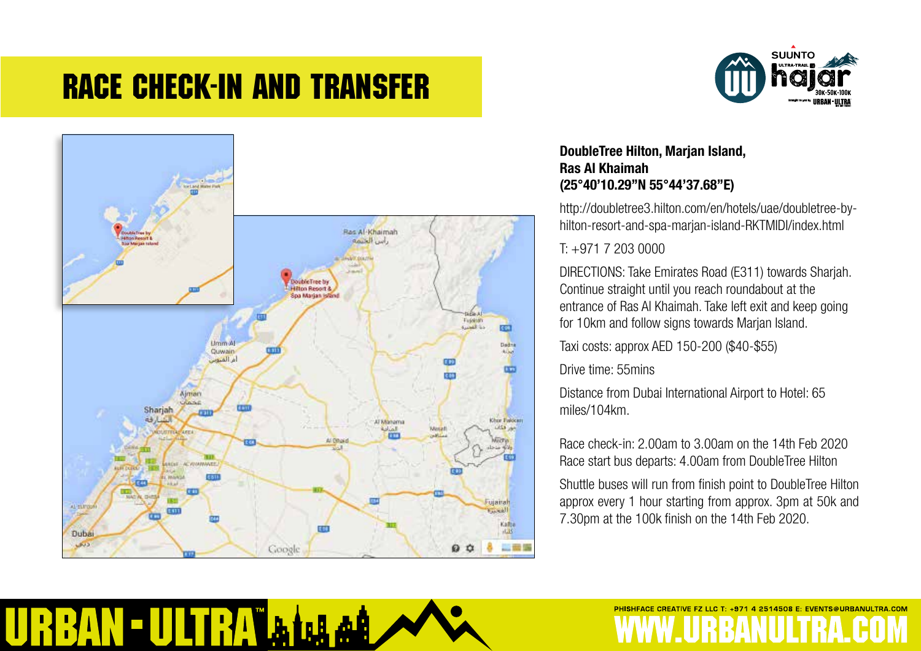## Race Check-In and Transfer



 $\left| \mathbf{h} \right|$ 

山船

**AN-ULTRA** 



### **DoubleTree Hilton, Marjan Island, Ras Al Khaimah (25°40'10.29"N 55°44'37.68"E)**

http://doubletree3.hilton.com/en/hotels/uae/doubletree-byhilton-resort-and-spa-marjan-island-RKTMIDI/index.html

### T: +971 7 203 0000

DIRECTIONS: Take Emirates Road (E311) towards Sharjah. Continue straight until you reach roundabout at the entrance of Ras Al Khaimah. Take left exit and keep going for 10km and follow signs towards Marjan Island.

Taxi costs: approx AED 150-200 (\$40-\$55)

Drive time: 55mins

Distance from Dubai International Airport to Hotel: 65 miles/104km.

Race check-in: 2.00am to 3.00am on the 14th Feb 2020 Race start bus departs: 4.00am from DoubleTree Hilton

Shuttle buses will run from finish point to DoubleTree Hilton approx every 1 hour starting from approx. 3pm at 50k and 7.30pm at the 100k finish on the 14th Feb 2020.

PHISHFACE CREATIVE FZ LLC T: +971 4 2514508 E: EVENTS@URBANULTRA.COM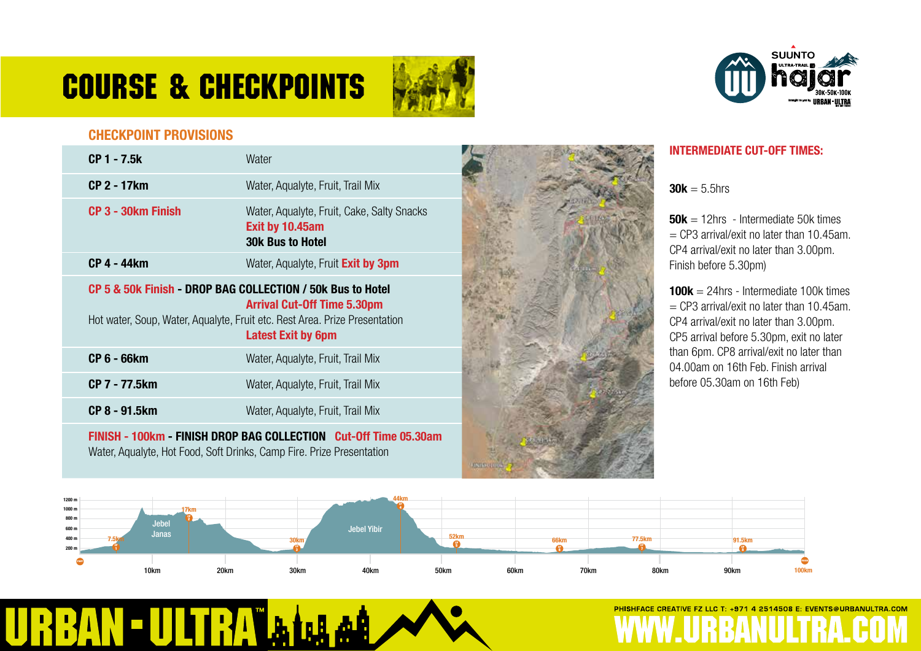# COURSE & Checkpoints





#### **CHECKPOINT PROVISIONS**

| <b>CP 1 - 7.5k</b>                                                    | Water                                                                                                                                         |  |
|-----------------------------------------------------------------------|-----------------------------------------------------------------------------------------------------------------------------------------------|--|
| <b>CP 2 - 17km</b>                                                    | Water, Aqualyte, Fruit, Trail Mix                                                                                                             |  |
| CP 3 - 30km Finish                                                    | Water, Aqualyte, Fruit, Cake, Salty Snacks<br>Exit by 10.45am<br><b>30k Bus to Hotel</b>                                                      |  |
| <b>CP 4 - 44km</b>                                                    | Water, Aqualyte, Fruit Exit by 3pm                                                                                                            |  |
| CP 5 & 50k Finish - DROP BAG COLLECTION / 50k Bus to Hotel            | <b>Arrival Cut-Off Time 5.30pm</b><br>Hot water, Soup, Water, Aqualyte, Fruit etc. Rest Area. Prize Presentation<br><b>Latest Exit by 6pm</b> |  |
| <b>CP 6 - 66km</b>                                                    | Water, Aqualyte, Fruit, Trail Mix                                                                                                             |  |
| <b>CP 7 - 77.5km</b>                                                  | Water, Aqualyte, Fruit, Trail Mix                                                                                                             |  |
| CP 8 - 91.5km                                                         | Water, Aqualyte, Fruit, Trail Mix                                                                                                             |  |
| Water, Aqualyte, Hot Food, Soft Drinks, Camp Fire. Prize Presentation | FINISH - 100km - FINISH DROP BAG COLLECTION Cut-Off Time 05.30am                                                                              |  |

فهلا

**INTERMEDIATE CUT-OFF TIMES:**

**30k** =  $5.5$ hrs

**50k** = 12hrs - Intermediate 50k times  $=$  CP3 arrival/exit no later than 10.45am. CP4 arrival/exit no later than 3.00pm. Finish before 5.30pm)

**100k** = 24hrs - Intermediate 100k times  $=$  CP3 arrival/exit no later than 10.45am. CP4 arrival/exit no later than 3.00pm. CP5 arrival before 5.30pm, exit no later than 6pm. CP8 arrival/exit no later than 04.00am on 16th Feb. Finish arrival before 05.30am on 16th Feb)



**Kinney**